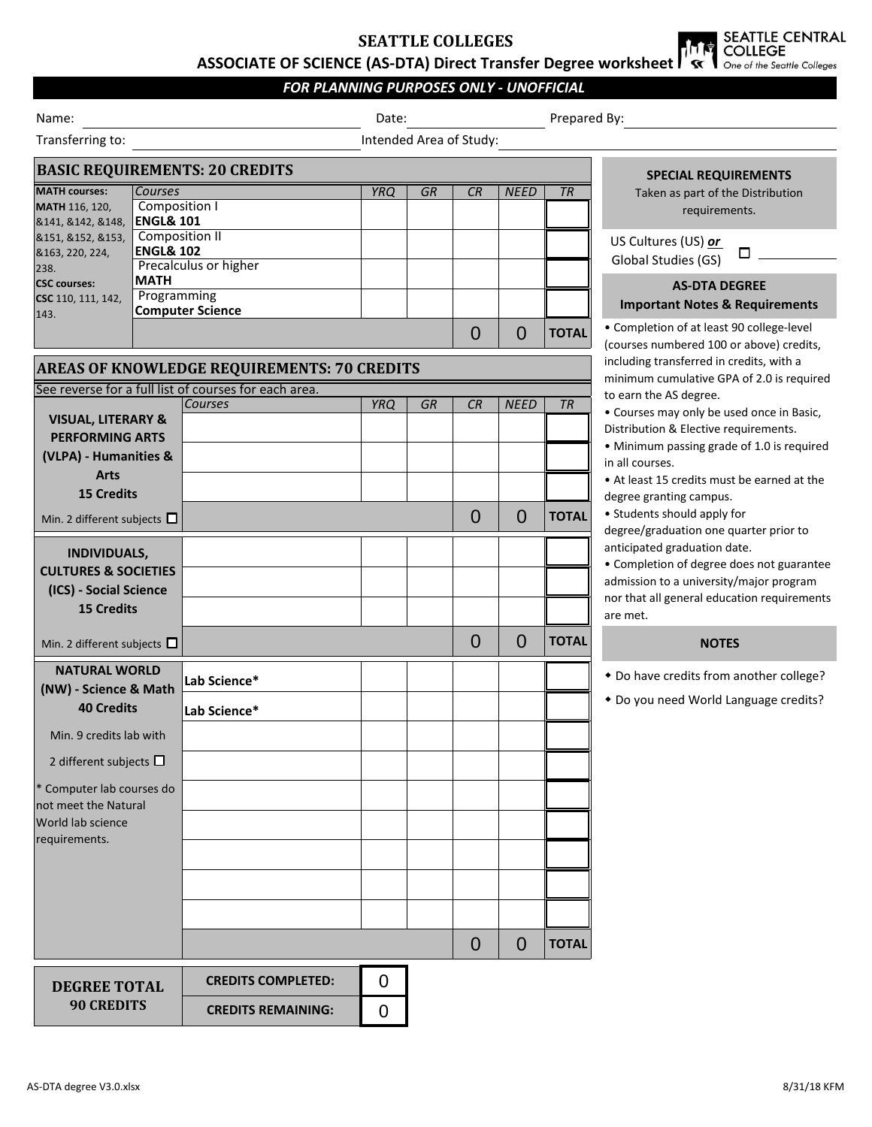# **SEATTLE COLLEGES**

SEATTLE CENTRAL<br>COLLEGE **ASSOCIATE OF SCIENCE (AS-DTA) Direct Transfer Degree worksheet** 

## *FOR PLANNING PURPOSES ONLY - UNOFFICIAL*

| Intended Area of Study:<br>Transferring to:<br><b>BASIC REQUIREMENTS: 20 CREDITS</b><br><b>SPECIAL REQUIREMENTS</b><br><b>MATH courses:</b><br><b>Courses</b><br><b>YRQ</b><br><b>GR</b><br>CR<br><b>NEED</b><br><b>TR</b><br>Taken as part of the Distribution<br>Composition I<br>MATH 116, 120,<br>requirements.<br><b>ENGL&amp; 101</b><br>&141, &142, &148,<br>Composition II<br>8151, 8152, 8153,<br>US Cultures (US) or<br><b>ENGL&amp; 102</b><br>&163, 220, 224,<br>□<br>Global Studies (GS)<br>Precalculus or higher<br>238.<br><b>MATH</b><br><b>CSC</b> courses:<br><b>AS-DTA DEGREE</b><br>Programming<br>CSC 110, 111, 142,<br><b>Important Notes &amp; Requirements</b><br><b>Computer Science</b><br>143.<br>• Completion of at least 90 college-level<br>$\overline{0}$<br><b>TOTAL</b><br>0<br>(courses numbered 100 or above) credits,<br>including transferred in credits, with a<br><b>AREAS OF KNOWLEDGE REQUIREMENTS: 70 CREDITS</b><br>minimum cumulative GPA of 2.0 is required<br>See reverse for a full list of courses for each area.<br>to earn the AS degree.<br><b>YRQ</b><br><b>GR</b><br>CR<br>Courses<br><b>NEED</b><br><b>TR</b><br>• Courses may only be used once in Basic,<br><b>VISUAL, LITERARY &amp;</b><br>Distribution & Elective requirements.<br><b>PERFORMING ARTS</b><br>• Minimum passing grade of 1.0 is required<br>(VLPA) - Humanities &<br>in all courses.<br><b>Arts</b><br>• At least 15 credits must be earned at the<br><b>15 Credits</b><br>degree granting campus.<br>• Students should apply for<br>$\overline{0}$<br>$\overline{0}$<br><b>TOTAL</b><br>Min. 2 different subjects $\square$<br>degree/graduation one quarter prior to<br>anticipated graduation date.<br><b>INDIVIDUALS,</b><br>• Completion of degree does not guarantee<br><b>CULTURES &amp; SOCIETIES</b><br>admission to a university/major program<br>(ICS) - Social Science<br>nor that all general education requirements<br><b>15 Credits</b><br>are met.<br>$\Omega$<br>$\overline{0}$<br><b>TOTAL</b><br><b>NOTES</b><br>Min. 2 different subjects $\square$<br><b>NATURAL WORLD</b><br>* Do have credits from another college?<br>Lab Science*<br>(NW) - Science & Math<br>* Do you need World Language credits?<br><b>40 Credits</b><br>Lab Science*<br>Min. 9 credits lab with<br>2 different subjects $\square$<br>* Computer lab courses do<br>not meet the Natural<br><b>World lab science</b><br>requirements.<br><b>TOTAL</b><br>$\Omega$<br>$\overline{0}$<br>$\overline{0}$<br><b>CREDITS COMPLETED:</b><br><b>DEGREE TOTAL</b><br><b>90 CREDITS</b><br><b>CREDITS REMAINING:</b><br>$\overline{0}$ | Name: |  | Date: |  |  |  | Prepared By: |  |  |
|----------------------------------------------------------------------------------------------------------------------------------------------------------------------------------------------------------------------------------------------------------------------------------------------------------------------------------------------------------------------------------------------------------------------------------------------------------------------------------------------------------------------------------------------------------------------------------------------------------------------------------------------------------------------------------------------------------------------------------------------------------------------------------------------------------------------------------------------------------------------------------------------------------------------------------------------------------------------------------------------------------------------------------------------------------------------------------------------------------------------------------------------------------------------------------------------------------------------------------------------------------------------------------------------------------------------------------------------------------------------------------------------------------------------------------------------------------------------------------------------------------------------------------------------------------------------------------------------------------------------------------------------------------------------------------------------------------------------------------------------------------------------------------------------------------------------------------------------------------------------------------------------------------------------------------------------------------------------------------------------------------------------------------------------------------------------------------------------------------------------------------------------------------------------------------------------------------------------------------------------------------------------------------------------------------------------------------------------------------------------------------------------------------------------------------------------------------------------------------------------------------------------------------------------------------------------------------------------------------------------------------------------------|-------|--|-------|--|--|--|--------------|--|--|
|                                                                                                                                                                                                                                                                                                                                                                                                                                                                                                                                                                                                                                                                                                                                                                                                                                                                                                                                                                                                                                                                                                                                                                                                                                                                                                                                                                                                                                                                                                                                                                                                                                                                                                                                                                                                                                                                                                                                                                                                                                                                                                                                                                                                                                                                                                                                                                                                                                                                                                                                                                                                                                                    |       |  |       |  |  |  |              |  |  |
|                                                                                                                                                                                                                                                                                                                                                                                                                                                                                                                                                                                                                                                                                                                                                                                                                                                                                                                                                                                                                                                                                                                                                                                                                                                                                                                                                                                                                                                                                                                                                                                                                                                                                                                                                                                                                                                                                                                                                                                                                                                                                                                                                                                                                                                                                                                                                                                                                                                                                                                                                                                                                                                    |       |  |       |  |  |  |              |  |  |
|                                                                                                                                                                                                                                                                                                                                                                                                                                                                                                                                                                                                                                                                                                                                                                                                                                                                                                                                                                                                                                                                                                                                                                                                                                                                                                                                                                                                                                                                                                                                                                                                                                                                                                                                                                                                                                                                                                                                                                                                                                                                                                                                                                                                                                                                                                                                                                                                                                                                                                                                                                                                                                                    |       |  |       |  |  |  |              |  |  |
|                                                                                                                                                                                                                                                                                                                                                                                                                                                                                                                                                                                                                                                                                                                                                                                                                                                                                                                                                                                                                                                                                                                                                                                                                                                                                                                                                                                                                                                                                                                                                                                                                                                                                                                                                                                                                                                                                                                                                                                                                                                                                                                                                                                                                                                                                                                                                                                                                                                                                                                                                                                                                                                    |       |  |       |  |  |  |              |  |  |
|                                                                                                                                                                                                                                                                                                                                                                                                                                                                                                                                                                                                                                                                                                                                                                                                                                                                                                                                                                                                                                                                                                                                                                                                                                                                                                                                                                                                                                                                                                                                                                                                                                                                                                                                                                                                                                                                                                                                                                                                                                                                                                                                                                                                                                                                                                                                                                                                                                                                                                                                                                                                                                                    |       |  |       |  |  |  |              |  |  |
|                                                                                                                                                                                                                                                                                                                                                                                                                                                                                                                                                                                                                                                                                                                                                                                                                                                                                                                                                                                                                                                                                                                                                                                                                                                                                                                                                                                                                                                                                                                                                                                                                                                                                                                                                                                                                                                                                                                                                                                                                                                                                                                                                                                                                                                                                                                                                                                                                                                                                                                                                                                                                                                    |       |  |       |  |  |  |              |  |  |
|                                                                                                                                                                                                                                                                                                                                                                                                                                                                                                                                                                                                                                                                                                                                                                                                                                                                                                                                                                                                                                                                                                                                                                                                                                                                                                                                                                                                                                                                                                                                                                                                                                                                                                                                                                                                                                                                                                                                                                                                                                                                                                                                                                                                                                                                                                                                                                                                                                                                                                                                                                                                                                                    |       |  |       |  |  |  |              |  |  |
|                                                                                                                                                                                                                                                                                                                                                                                                                                                                                                                                                                                                                                                                                                                                                                                                                                                                                                                                                                                                                                                                                                                                                                                                                                                                                                                                                                                                                                                                                                                                                                                                                                                                                                                                                                                                                                                                                                                                                                                                                                                                                                                                                                                                                                                                                                                                                                                                                                                                                                                                                                                                                                                    |       |  |       |  |  |  |              |  |  |
|                                                                                                                                                                                                                                                                                                                                                                                                                                                                                                                                                                                                                                                                                                                                                                                                                                                                                                                                                                                                                                                                                                                                                                                                                                                                                                                                                                                                                                                                                                                                                                                                                                                                                                                                                                                                                                                                                                                                                                                                                                                                                                                                                                                                                                                                                                                                                                                                                                                                                                                                                                                                                                                    |       |  |       |  |  |  |              |  |  |
|                                                                                                                                                                                                                                                                                                                                                                                                                                                                                                                                                                                                                                                                                                                                                                                                                                                                                                                                                                                                                                                                                                                                                                                                                                                                                                                                                                                                                                                                                                                                                                                                                                                                                                                                                                                                                                                                                                                                                                                                                                                                                                                                                                                                                                                                                                                                                                                                                                                                                                                                                                                                                                                    |       |  |       |  |  |  |              |  |  |
|                                                                                                                                                                                                                                                                                                                                                                                                                                                                                                                                                                                                                                                                                                                                                                                                                                                                                                                                                                                                                                                                                                                                                                                                                                                                                                                                                                                                                                                                                                                                                                                                                                                                                                                                                                                                                                                                                                                                                                                                                                                                                                                                                                                                                                                                                                                                                                                                                                                                                                                                                                                                                                                    |       |  |       |  |  |  |              |  |  |
|                                                                                                                                                                                                                                                                                                                                                                                                                                                                                                                                                                                                                                                                                                                                                                                                                                                                                                                                                                                                                                                                                                                                                                                                                                                                                                                                                                                                                                                                                                                                                                                                                                                                                                                                                                                                                                                                                                                                                                                                                                                                                                                                                                                                                                                                                                                                                                                                                                                                                                                                                                                                                                                    |       |  |       |  |  |  |              |  |  |
|                                                                                                                                                                                                                                                                                                                                                                                                                                                                                                                                                                                                                                                                                                                                                                                                                                                                                                                                                                                                                                                                                                                                                                                                                                                                                                                                                                                                                                                                                                                                                                                                                                                                                                                                                                                                                                                                                                                                                                                                                                                                                                                                                                                                                                                                                                                                                                                                                                                                                                                                                                                                                                                    |       |  |       |  |  |  |              |  |  |
|                                                                                                                                                                                                                                                                                                                                                                                                                                                                                                                                                                                                                                                                                                                                                                                                                                                                                                                                                                                                                                                                                                                                                                                                                                                                                                                                                                                                                                                                                                                                                                                                                                                                                                                                                                                                                                                                                                                                                                                                                                                                                                                                                                                                                                                                                                                                                                                                                                                                                                                                                                                                                                                    |       |  |       |  |  |  |              |  |  |
|                                                                                                                                                                                                                                                                                                                                                                                                                                                                                                                                                                                                                                                                                                                                                                                                                                                                                                                                                                                                                                                                                                                                                                                                                                                                                                                                                                                                                                                                                                                                                                                                                                                                                                                                                                                                                                                                                                                                                                                                                                                                                                                                                                                                                                                                                                                                                                                                                                                                                                                                                                                                                                                    |       |  |       |  |  |  |              |  |  |
|                                                                                                                                                                                                                                                                                                                                                                                                                                                                                                                                                                                                                                                                                                                                                                                                                                                                                                                                                                                                                                                                                                                                                                                                                                                                                                                                                                                                                                                                                                                                                                                                                                                                                                                                                                                                                                                                                                                                                                                                                                                                                                                                                                                                                                                                                                                                                                                                                                                                                                                                                                                                                                                    |       |  |       |  |  |  |              |  |  |
|                                                                                                                                                                                                                                                                                                                                                                                                                                                                                                                                                                                                                                                                                                                                                                                                                                                                                                                                                                                                                                                                                                                                                                                                                                                                                                                                                                                                                                                                                                                                                                                                                                                                                                                                                                                                                                                                                                                                                                                                                                                                                                                                                                                                                                                                                                                                                                                                                                                                                                                                                                                                                                                    |       |  |       |  |  |  |              |  |  |
|                                                                                                                                                                                                                                                                                                                                                                                                                                                                                                                                                                                                                                                                                                                                                                                                                                                                                                                                                                                                                                                                                                                                                                                                                                                                                                                                                                                                                                                                                                                                                                                                                                                                                                                                                                                                                                                                                                                                                                                                                                                                                                                                                                                                                                                                                                                                                                                                                                                                                                                                                                                                                                                    |       |  |       |  |  |  |              |  |  |
|                                                                                                                                                                                                                                                                                                                                                                                                                                                                                                                                                                                                                                                                                                                                                                                                                                                                                                                                                                                                                                                                                                                                                                                                                                                                                                                                                                                                                                                                                                                                                                                                                                                                                                                                                                                                                                                                                                                                                                                                                                                                                                                                                                                                                                                                                                                                                                                                                                                                                                                                                                                                                                                    |       |  |       |  |  |  |              |  |  |
|                                                                                                                                                                                                                                                                                                                                                                                                                                                                                                                                                                                                                                                                                                                                                                                                                                                                                                                                                                                                                                                                                                                                                                                                                                                                                                                                                                                                                                                                                                                                                                                                                                                                                                                                                                                                                                                                                                                                                                                                                                                                                                                                                                                                                                                                                                                                                                                                                                                                                                                                                                                                                                                    |       |  |       |  |  |  |              |  |  |
|                                                                                                                                                                                                                                                                                                                                                                                                                                                                                                                                                                                                                                                                                                                                                                                                                                                                                                                                                                                                                                                                                                                                                                                                                                                                                                                                                                                                                                                                                                                                                                                                                                                                                                                                                                                                                                                                                                                                                                                                                                                                                                                                                                                                                                                                                                                                                                                                                                                                                                                                                                                                                                                    |       |  |       |  |  |  |              |  |  |
|                                                                                                                                                                                                                                                                                                                                                                                                                                                                                                                                                                                                                                                                                                                                                                                                                                                                                                                                                                                                                                                                                                                                                                                                                                                                                                                                                                                                                                                                                                                                                                                                                                                                                                                                                                                                                                                                                                                                                                                                                                                                                                                                                                                                                                                                                                                                                                                                                                                                                                                                                                                                                                                    |       |  |       |  |  |  |              |  |  |
|                                                                                                                                                                                                                                                                                                                                                                                                                                                                                                                                                                                                                                                                                                                                                                                                                                                                                                                                                                                                                                                                                                                                                                                                                                                                                                                                                                                                                                                                                                                                                                                                                                                                                                                                                                                                                                                                                                                                                                                                                                                                                                                                                                                                                                                                                                                                                                                                                                                                                                                                                                                                                                                    |       |  |       |  |  |  |              |  |  |
|                                                                                                                                                                                                                                                                                                                                                                                                                                                                                                                                                                                                                                                                                                                                                                                                                                                                                                                                                                                                                                                                                                                                                                                                                                                                                                                                                                                                                                                                                                                                                                                                                                                                                                                                                                                                                                                                                                                                                                                                                                                                                                                                                                                                                                                                                                                                                                                                                                                                                                                                                                                                                                                    |       |  |       |  |  |  |              |  |  |
|                                                                                                                                                                                                                                                                                                                                                                                                                                                                                                                                                                                                                                                                                                                                                                                                                                                                                                                                                                                                                                                                                                                                                                                                                                                                                                                                                                                                                                                                                                                                                                                                                                                                                                                                                                                                                                                                                                                                                                                                                                                                                                                                                                                                                                                                                                                                                                                                                                                                                                                                                                                                                                                    |       |  |       |  |  |  |              |  |  |
|                                                                                                                                                                                                                                                                                                                                                                                                                                                                                                                                                                                                                                                                                                                                                                                                                                                                                                                                                                                                                                                                                                                                                                                                                                                                                                                                                                                                                                                                                                                                                                                                                                                                                                                                                                                                                                                                                                                                                                                                                                                                                                                                                                                                                                                                                                                                                                                                                                                                                                                                                                                                                                                    |       |  |       |  |  |  |              |  |  |
|                                                                                                                                                                                                                                                                                                                                                                                                                                                                                                                                                                                                                                                                                                                                                                                                                                                                                                                                                                                                                                                                                                                                                                                                                                                                                                                                                                                                                                                                                                                                                                                                                                                                                                                                                                                                                                                                                                                                                                                                                                                                                                                                                                                                                                                                                                                                                                                                                                                                                                                                                                                                                                                    |       |  |       |  |  |  |              |  |  |
|                                                                                                                                                                                                                                                                                                                                                                                                                                                                                                                                                                                                                                                                                                                                                                                                                                                                                                                                                                                                                                                                                                                                                                                                                                                                                                                                                                                                                                                                                                                                                                                                                                                                                                                                                                                                                                                                                                                                                                                                                                                                                                                                                                                                                                                                                                                                                                                                                                                                                                                                                                                                                                                    |       |  |       |  |  |  |              |  |  |
|                                                                                                                                                                                                                                                                                                                                                                                                                                                                                                                                                                                                                                                                                                                                                                                                                                                                                                                                                                                                                                                                                                                                                                                                                                                                                                                                                                                                                                                                                                                                                                                                                                                                                                                                                                                                                                                                                                                                                                                                                                                                                                                                                                                                                                                                                                                                                                                                                                                                                                                                                                                                                                                    |       |  |       |  |  |  |              |  |  |
|                                                                                                                                                                                                                                                                                                                                                                                                                                                                                                                                                                                                                                                                                                                                                                                                                                                                                                                                                                                                                                                                                                                                                                                                                                                                                                                                                                                                                                                                                                                                                                                                                                                                                                                                                                                                                                                                                                                                                                                                                                                                                                                                                                                                                                                                                                                                                                                                                                                                                                                                                                                                                                                    |       |  |       |  |  |  |              |  |  |
|                                                                                                                                                                                                                                                                                                                                                                                                                                                                                                                                                                                                                                                                                                                                                                                                                                                                                                                                                                                                                                                                                                                                                                                                                                                                                                                                                                                                                                                                                                                                                                                                                                                                                                                                                                                                                                                                                                                                                                                                                                                                                                                                                                                                                                                                                                                                                                                                                                                                                                                                                                                                                                                    |       |  |       |  |  |  |              |  |  |
|                                                                                                                                                                                                                                                                                                                                                                                                                                                                                                                                                                                                                                                                                                                                                                                                                                                                                                                                                                                                                                                                                                                                                                                                                                                                                                                                                                                                                                                                                                                                                                                                                                                                                                                                                                                                                                                                                                                                                                                                                                                                                                                                                                                                                                                                                                                                                                                                                                                                                                                                                                                                                                                    |       |  |       |  |  |  |              |  |  |
|                                                                                                                                                                                                                                                                                                                                                                                                                                                                                                                                                                                                                                                                                                                                                                                                                                                                                                                                                                                                                                                                                                                                                                                                                                                                                                                                                                                                                                                                                                                                                                                                                                                                                                                                                                                                                                                                                                                                                                                                                                                                                                                                                                                                                                                                                                                                                                                                                                                                                                                                                                                                                                                    |       |  |       |  |  |  |              |  |  |
|                                                                                                                                                                                                                                                                                                                                                                                                                                                                                                                                                                                                                                                                                                                                                                                                                                                                                                                                                                                                                                                                                                                                                                                                                                                                                                                                                                                                                                                                                                                                                                                                                                                                                                                                                                                                                                                                                                                                                                                                                                                                                                                                                                                                                                                                                                                                                                                                                                                                                                                                                                                                                                                    |       |  |       |  |  |  |              |  |  |
|                                                                                                                                                                                                                                                                                                                                                                                                                                                                                                                                                                                                                                                                                                                                                                                                                                                                                                                                                                                                                                                                                                                                                                                                                                                                                                                                                                                                                                                                                                                                                                                                                                                                                                                                                                                                                                                                                                                                                                                                                                                                                                                                                                                                                                                                                                                                                                                                                                                                                                                                                                                                                                                    |       |  |       |  |  |  |              |  |  |
|                                                                                                                                                                                                                                                                                                                                                                                                                                                                                                                                                                                                                                                                                                                                                                                                                                                                                                                                                                                                                                                                                                                                                                                                                                                                                                                                                                                                                                                                                                                                                                                                                                                                                                                                                                                                                                                                                                                                                                                                                                                                                                                                                                                                                                                                                                                                                                                                                                                                                                                                                                                                                                                    |       |  |       |  |  |  |              |  |  |
|                                                                                                                                                                                                                                                                                                                                                                                                                                                                                                                                                                                                                                                                                                                                                                                                                                                                                                                                                                                                                                                                                                                                                                                                                                                                                                                                                                                                                                                                                                                                                                                                                                                                                                                                                                                                                                                                                                                                                                                                                                                                                                                                                                                                                                                                                                                                                                                                                                                                                                                                                                                                                                                    |       |  |       |  |  |  |              |  |  |
|                                                                                                                                                                                                                                                                                                                                                                                                                                                                                                                                                                                                                                                                                                                                                                                                                                                                                                                                                                                                                                                                                                                                                                                                                                                                                                                                                                                                                                                                                                                                                                                                                                                                                                                                                                                                                                                                                                                                                                                                                                                                                                                                                                                                                                                                                                                                                                                                                                                                                                                                                                                                                                                    |       |  |       |  |  |  |              |  |  |